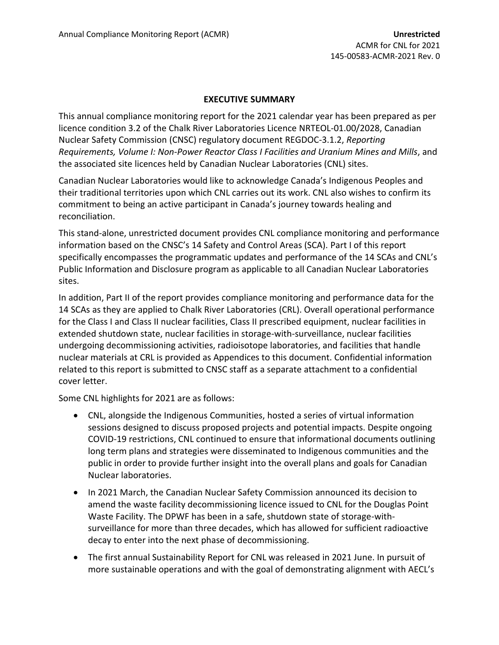## **EXECUTIVE SUMMARY**

This annual compliance monitoring report for the 2021 calendar year has been prepared as per licence condition 3.2 of the Chalk River Laboratories Licence NRTEOL-01.00/2028, Canadian Nuclear Safety Commission (CNSC) regulatory document REGDOC-3.1.2, *Reporting Requirements, Volume I: Non-Power Reactor Class I Facilities and Uranium Mines and Mills*, and the associated site licences held by Canadian Nuclear Laboratories (CNL) sites.

Canadian Nuclear Laboratories would like to acknowledge Canada's Indigenous Peoples and their traditional territories upon which CNL carries out its work. CNL also wishes to confirm its commitment to being an active participant in Canada's journey towards healing and reconciliation.

This stand-alone, unrestricted document provides CNL compliance monitoring and performance information based on the CNSC's 14 Safety and Control Areas (SCA). Part I of this report specifically encompasses the programmatic updates and performance of the 14 SCAs and CNL's Public Information and Disclosure program as applicable to all Canadian Nuclear Laboratories sites.

In addition, Part II of the report provides compliance monitoring and performance data for the 14 SCAs as they are applied to Chalk River Laboratories (CRL). Overall operational performance for the Class I and Class II nuclear facilities, Class II prescribed equipment, nuclear facilities in extended shutdown state, nuclear facilities in storage-with-surveillance, nuclear facilities undergoing decommissioning activities, radioisotope laboratories, and facilities that handle nuclear materials at CRL is provided as Appendices to this document. Confidential information related to this report is submitted to CNSC staff as a separate attachment to a confidential cover letter.

Some CNL highlights for 2021 are as follows:

- CNL, alongside the Indigenous Communities, hosted a series of virtual information sessions designed to discuss proposed projects and potential impacts. Despite ongoing COVID-19 restrictions, CNL continued to ensure that informational documents outlining long term plans and strategies were disseminated to Indigenous communities and the public in order to provide further insight into the overall plans and goals for Canadian Nuclear laboratories.
- In 2021 March, the Canadian Nuclear Safety Commission announced its decision to amend the waste facility decommissioning licence issued to CNL for the Douglas Point Waste Facility. The DPWF has been in a safe, shutdown state of storage-withsurveillance for more than three decades, which has allowed for sufficient radioactive decay to enter into the next phase of decommissioning.
- The first annual Sustainability Report for CNL was released in 2021 June. In pursuit of more sustainable operations and with the goal of demonstrating alignment with AECL's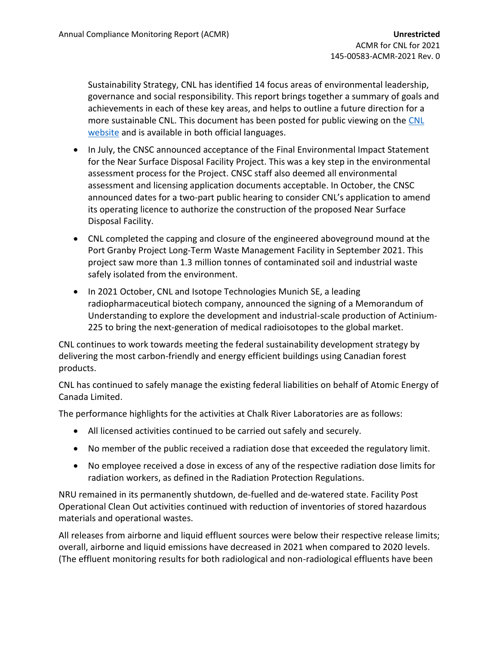Sustainability Strategy, CNL has identified 14 focus areas of environmental leadership, governance and social responsibility. This report brings together a summary of goals and achievements in each of these key areas, and helps to outline a future direction for a more sustainable CNL. This document has been posted for public viewing on the [CNL](https://www.cnl.ca/cnl_report/cnl-sustainability-report-2021/)  [website](https://www.cnl.ca/cnl_report/cnl-sustainability-report-2021/) and is available in both official languages.

- In July, the CNSC announced acceptance of the Final Environmental Impact Statement for the Near Surface Disposal Facility Project. This was a key step in the environmental assessment process for the Project. CNSC staff also deemed all environmental assessment and licensing application documents acceptable. In October, the CNSC announced dates for a two-part public hearing to consider CNL's application to amend its operating licence to authorize the construction of the proposed Near Surface Disposal Facility.
- CNL completed the capping and closure of the engineered aboveground mound at the Port Granby Project Long-Term Waste Management Facility in September 2021. This project saw more than 1.3 million tonnes of contaminated soil and industrial waste safely isolated from the environment.
- In 2021 October, CNL and Isotope Technologies Munich SE, a leading radiopharmaceutical biotech company, announced the signing of a Memorandum of Understanding to explore the development and industrial-scale production of Actinium-225 to bring the next-generation of medical radioisotopes to the global market.

CNL continues to work towards meeting the federal sustainability development strategy by delivering the most carbon-friendly and energy efficient buildings using Canadian forest products.

CNL has continued to safely manage the existing federal liabilities on behalf of Atomic Energy of Canada Limited.

The performance highlights for the activities at Chalk River Laboratories are as follows:

- All licensed activities continued to be carried out safely and securely.
- No member of the public received a radiation dose that exceeded the regulatory limit.
- No employee received a dose in excess of any of the respective radiation dose limits for radiation workers, as defined in the Radiation Protection Regulations.

NRU remained in its permanently shutdown, de-fuelled and de-watered state. Facility Post Operational Clean Out activities continued with reduction of inventories of stored hazardous materials and operational wastes.

All releases from airborne and liquid effluent sources were below their respective release limits; overall, airborne and liquid emissions have decreased in 2021 when compared to 2020 levels. (The effluent monitoring results for both radiological and non-radiological effluents have been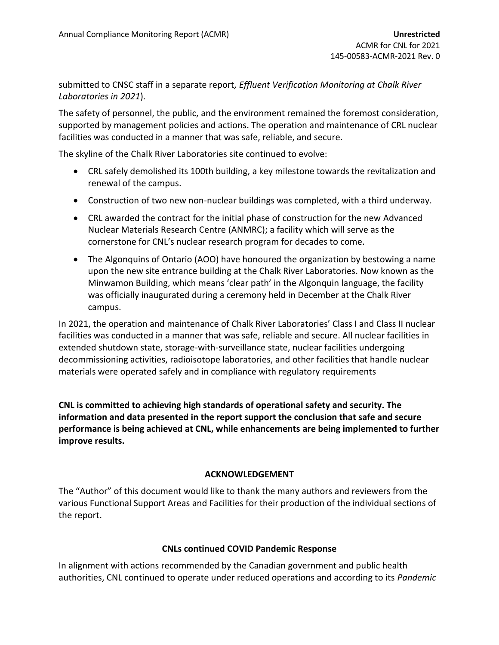submitted to CNSC staff in a separate report*, Effluent Verification Monitoring at Chalk River Laboratories in 2021*).

The safety of personnel, the public, and the environment remained the foremost consideration, supported by management policies and actions. The operation and maintenance of CRL nuclear facilities was conducted in a manner that was safe, reliable, and secure.

The skyline of the Chalk River Laboratories site continued to evolve:

- CRL safely demolished its 100th building, a key milestone towards the revitalization and renewal of the campus.
- Construction of two new non-nuclear buildings was completed, with a third underway.
- CRL awarded the contract for the initial phase of construction for the new [Advanced](https://www.cnl.ca/project-agreement-signed-for-construction-of-advanced-nuclear-materials-research-centre/)  [Nuclear Materials Research Centre](https://www.cnl.ca/project-agreement-signed-for-construction-of-advanced-nuclear-materials-research-centre/) (ANMRC); a facility which will serve as the cornerstone for CNL's nuclear research program for decades to come.
- The Algonquins of Ontario (AOO) have honoured the organization by bestowing a name upon the new site entrance building at the Chalk River Laboratories. Now known as the Minwamon Building, which means 'clear path' in the Algonquin language, the facility was officially inaugurated during a ceremony held in December at the Chalk River campus.

In 2021, the operation and maintenance of Chalk River Laboratories' Class I and Class II nuclear facilities was conducted in a manner that was safe, reliable and secure. All nuclear facilities in extended shutdown state, storage-with-surveillance state, nuclear facilities undergoing decommissioning activities, radioisotope laboratories, and other facilities that handle nuclear materials were operated safely and in compliance with regulatory requirements

**CNL is committed to achieving high standards of operational safety and security. The information and data presented in the report support the conclusion that safe and secure performance is being achieved at CNL, while enhancements are being implemented to further improve results.**

## **ACKNOWLEDGEMENT**

The "Author" of this document would like to thank the many authors and reviewers from the various Functional Support Areas and Facilities for their production of the individual sections of the report.

## **CNLs continued COVID Pandemic Response**

In alignment with actions recommended by the Canadian government and public health authorities, CNL continued to operate under reduced operations and according to its *Pandemic*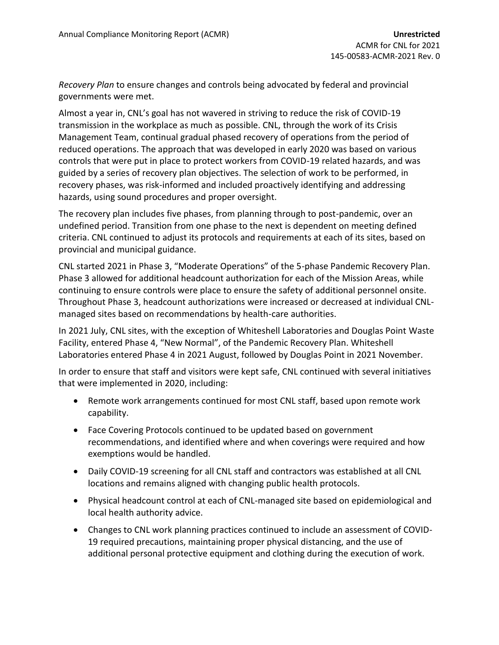*Recovery Plan* to ensure changes and controls being advocated by federal and provincial governments were met.

Almost a year in, CNL's goal has not wavered in striving to reduce the risk of COVID-19 transmission in the workplace as much as possible. CNL, through the work of its Crisis Management Team, continual gradual phased recovery of operations from the period of reduced operations. The approach that was developed in early 2020 was based on various controls that were put in place to protect workers from COVID-19 related hazards, and was guided by a series of recovery plan objectives. The selection of work to be performed, in recovery phases, was risk-informed and included proactively identifying and addressing hazards, using sound procedures and proper oversight.

The recovery plan includes five phases, from planning through to post-pandemic, over an undefined period. Transition from one phase to the next is dependent on meeting defined criteria. CNL continued to adjust its protocols and requirements at each of its sites, based on provincial and municipal guidance.

CNL started 2021 in Phase 3, "Moderate Operations" of the 5-phase Pandemic Recovery Plan. Phase 3 allowed for additional headcount authorization for each of the Mission Areas, while continuing to ensure controls were place to ensure the safety of additional personnel onsite. Throughout Phase 3, headcount authorizations were increased or decreased at individual CNLmanaged sites based on recommendations by health-care authorities.

In 2021 July, CNL sites, with the exception of Whiteshell Laboratories and Douglas Point Waste Facility, entered Phase 4, "New Normal", of the Pandemic Recovery Plan. Whiteshell Laboratories entered Phase 4 in 2021 August, followed by Douglas Point in 2021 November.

In order to ensure that staff and visitors were kept safe, CNL continued with several initiatives that were implemented in 2020, including:

- Remote work arrangements continued for most CNL staff, based upon remote work capability.
- Face Covering Protocols continued to be updated based on government recommendations, and identified where and when coverings were required and how exemptions would be handled.
- Daily COVID-19 screening for all CNL staff and contractors was established at all CNL locations and remains aligned with changing public health protocols.
- Physical headcount control at each of CNL-managed site based on epidemiological and local health authority advice.
- Changes to CNL work planning practices continued to include an assessment of COVID-19 required precautions, maintaining proper physical distancing, and the use of additional personal protective equipment and clothing during the execution of work.